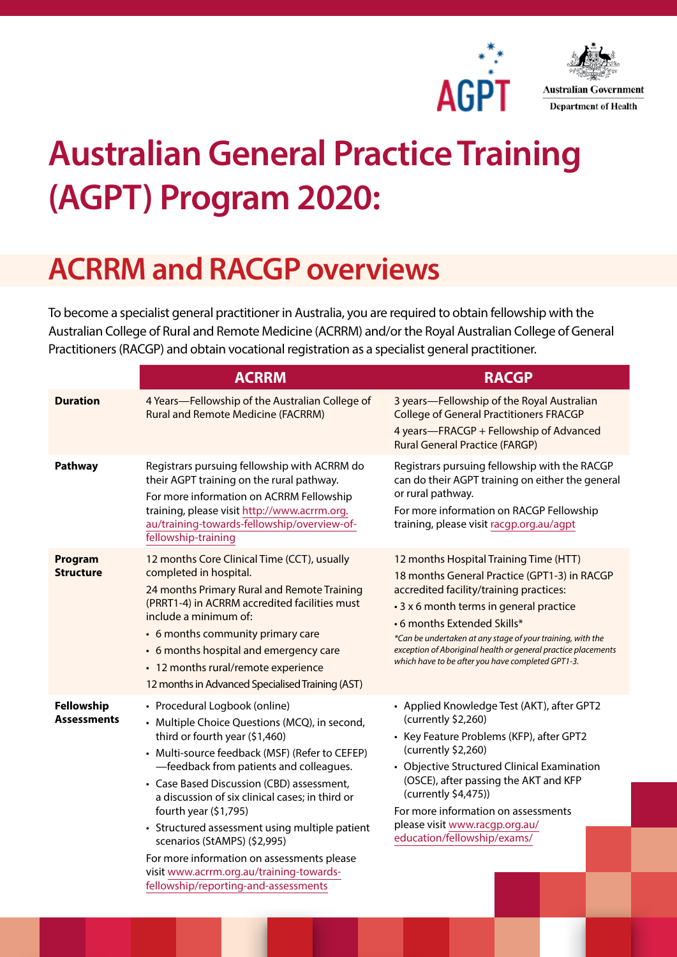



## **Australian General Practice Training (AGPT) Program 2020:**

## **ACRRM and RACGP overviews**

To become a specialist general practitioner in Australia, you are required to obtain fellowship with the Australian College of Rural and Remote Medicine (ACRRM) and/or the Royal Australian College of General Practitioners (RACGP) and obtain vocational registration as a specialist general practitioner.

|                                  | <b>ACRRM</b>                                                                                                                                                                                                                                                                                                                                                                                                                                                                                                                                               | <b>RACGP</b>                                                                                                                                                                                                                                                                                                                                                                                   |
|----------------------------------|------------------------------------------------------------------------------------------------------------------------------------------------------------------------------------------------------------------------------------------------------------------------------------------------------------------------------------------------------------------------------------------------------------------------------------------------------------------------------------------------------------------------------------------------------------|------------------------------------------------------------------------------------------------------------------------------------------------------------------------------------------------------------------------------------------------------------------------------------------------------------------------------------------------------------------------------------------------|
| <b>Duration</b>                  | 4 Years-Fellowship of the Australian College of<br><b>Rural and Remote Medicine (FACRRM)</b>                                                                                                                                                                                                                                                                                                                                                                                                                                                               | 3 years-Fellowship of the Royal Australian<br><b>College of General Practitioners FRACGP</b><br>4 years-FRACGP + Fellowship of Advanced<br><b>Rural General Practice (FARGP)</b>                                                                                                                                                                                                               |
| Pathway                          | Registrars pursuing fellowship with ACRRM do<br>their AGPT training on the rural pathway.<br>For more information on ACRRM Fellowship<br>training, please visit http://www.acrrm.org.<br>au/training-towards-fellowship/overview-of-<br>fellowship-training                                                                                                                                                                                                                                                                                                | Registrars pursuing fellowship with the RACGP<br>can do their AGPT training on either the general<br>or rural pathway.<br>For more information on RACGP Fellowship<br>training, please visit racgp.org.au/agpt                                                                                                                                                                                 |
| Program<br><b>Structure</b>      | 12 months Core Clinical Time (CCT), usually<br>completed in hospital.<br>24 months Primary Rural and Remote Training<br>(PRRT1-4) in ACRRM accredited facilities must<br>include a minimum of:<br>• 6 months community primary care<br>• 6 months hospital and emergency care<br>• 12 months rural/remote experience<br>12 months in Advanced Specialised Training (AST)                                                                                                                                                                                   | 12 months Hospital Training Time (HTT)<br>18 months General Practice (GPT1-3) in RACGP<br>accredited facility/training practices:<br>• 3 x 6 month terms in general practice<br>•6 months Extended Skills*<br>*Can be undertaken at any stage of your training, with the<br>exception of Aboriginal health or general practice placements<br>which have to be after you have completed GPT1-3. |
| Fellowship<br><b>Assessments</b> | • Procedural Logbook (online)<br>• Multiple Choice Questions (MCQ), in second,<br>third or fourth year (\$1,460)<br>• Multi-source feedback (MSF) (Refer to CEFEP)<br>-feedback from patients and colleagues.<br>• Case Based Discussion (CBD) assessment,<br>a discussion of six clinical cases; in third or<br>fourth year (\$1,795)<br>• Structured assessment using multiple patient<br>scenarios (StAMPS) (\$2,995)<br>For more information on assessments please<br>visit www.acrrm.org.au/training-towards-<br>fellowship/reporting-and-assessments | • Applied Knowledge Test (AKT), after GPT2<br>(currently \$2,260)<br>• Key Feature Problems (KFP), after GPT2<br>(currently \$2,260)<br>• Objective Structured Clinical Examination<br>(OSCE), after passing the AKT and KFP<br>(currently \$4,475))<br>For more information on assessments<br>please visit www.racgp.org.au/<br>education/fellowship/exams/                                   |